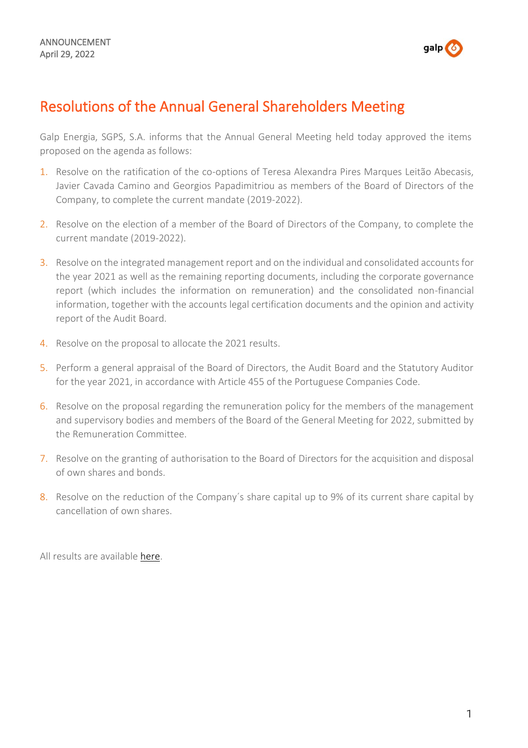

## Resolutions of the Annual General Shareholders Meeting

Galp Energia, SGPS, S.A. informs that the Annual General Meeting held today approved the items proposed on the agenda as follows:

- 1. Resolve on the ratification of the co-options of Teresa Alexandra Pires Marques Leitão Abecasis, Javier Cavada Camino and Georgios Papadimitriou as members of the Board of Directors of the Company, to complete the current mandate (2019-2022).
- 2. Resolve on the election of a member of the Board of Directors of the Company, to complete the current mandate (2019-2022).
- 3. Resolve on the integrated management report and on the individual and consolidated accounts for the year 2021 as well as the remaining reporting documents, including the corporate governance report (which includes the information on remuneration) and the consolidated non-financial information, together with the accounts legal certification documents and the opinion and activity report of the Audit Board.
- 4. Resolve on the proposal to allocate the 2021 results.
- 5. Perform a general appraisal of the Board of Directors, the Audit Board and the Statutory Auditor for the year 2021, in accordance with Article 455 of the Portuguese Companies Code.
- 6. Resolve on the proposal regarding the remuneration policy for the members of the management and supervisory bodies and members of the Board of the General Meeting for 2022, submitted by the Remuneration Committee.
- 7. Resolve on the granting of authorisation to the Board of Directors for the acquisition and disposal of own shares and bonds.
- 8. Resolve on the reduction of the Company's share capital up to 9% of its current share capital by cancellation of own shares.

All results are available [here.](https://www.galp.com/corp/en/investors/information-to-shareholders/general-shareholders-meetings/general-shareholders-meeting/id/23)